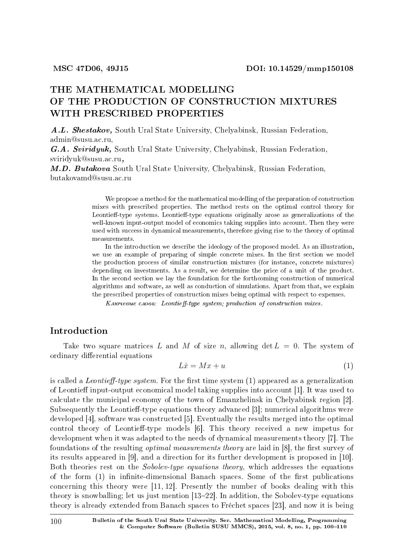# THE MATHEMATICAL MODELLING OF THE PRODUCTION OF CONSTRUCTION MIXTURES WITH PRESCRIBED PROPERTIES

A.L. Shestakov, South Ural State University, Chelyabinsk, Russian Federation, admin@susu.ac.ru,

G.A. Sviridyuk, South Ural State University, Chelyabinsk, Russian Federation, sviridyuk@susu.ac.ru,

M.D. Butakova South Ural State University, Chelyabinsk, Russian Federation, butakovamd@susu.ac.ru

> We propose a method for the mathematical modelling of the preparation of construction mixes with prescribed properties. The method rests on the optimal control theory for Leontieff-type systems. Leontieff-type equations originally arose as generalizations of the well-known input-output model of economics taking supplies into account. Then they were used with success in dynamical measurements, therefore giving rise to the theory of optimal measurements.

> In the introduction we describe the ideology of the proposed model. As an illustration, we use an example of preparing of simple concrete mixes. In the first section we model the production process of similar construction mixtures (for instance, concrete mixtures) depending on investments. As a result, we determine the price of a unit of the product. In the second section we lay the foundation for the forthcoming construction of numerical algorithms and software, as well as conduction of simulations. Apart from that, we explain the prescribed properties of construction mixes being optimal with respect to expenses.

K now eeue chosa: Leontieff-type system; production of construction mixes.

## Introduction

Take two square matrices L and M of size n, allowing  $\det L = 0$ . The system of ordinary differential equations

$$
L\dot{x} = Mx + u \tag{1}
$$

is called a *Leontieff-type system*. For the first time system  $(1)$  appeared as a generalization of Leontieff input-output economical model taking supplies into account [1]. It was used to calculate the municipal economy of the town of Emanzhelinsk in Chelyabinsk region [2]. Subsequently the Leontieff-type equations theory advanced  $[3]$ ; numerical algorithms were developed [4], software was constructed [5]. Eventually the results merged into the optimal control theory of Leontieff-type models [6]. This theory received a new impetus for development when it was adapted to the needs of dynamical measurements theory [7]. The foundations of the resulting *optimal measurements theory* are laid in [8], the first survey of its results appeared in [9], and a direction for its further development is proposed in [10]. Both theories rest on the Sobolev-type equations theory, which addresses the equations of the form  $(1)$  in infinite-dimensional Banach spaces. Some of the first publications concerning this theory were [11, 12]. Presently the number of books dealing with this theory is snowballing; let us just mention  $[13-22]$ . In addition, the Sobolev-type equations theory is already extended from Banach spaces to Frechet spaces [23], and now it is being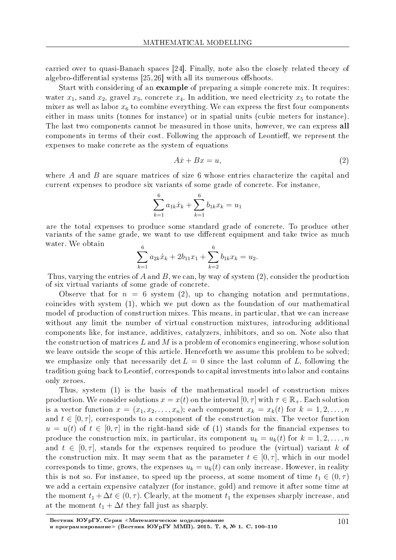carried over to quasi-Banach spaces [24]. Finally, note also the closely related theory of algebro-differential systems  $[25, 26]$  with all its numerous offshoots.

Start with considering of an example of preparing a simple concrete mix. It requires: water  $x_1$ , sand  $x_2$ , gravel  $x_3$ , concrete  $x_4$ . In addition, we need electricity  $x_5$  to rotate the mixer as well as labor  $x_6$  to combine everything. We can express the first four components either in mass units (tonnes for instance) or in spatial units (cubic meters for instance). The last two components cannot be measured in those units, however, we can express all components in terms of their cost. Following the approach of Leontieff, we represent the expenses to make concrete as the system of equations

$$
A\dot{x} + Bx = u,\t\t(2)
$$

where *A* and *B* are square matrices of size 6 whose entries characterize the capital and current expenses to produce six variants of some grade of concrete. For instance,

$$
\sum_{k=1}^{6} a_{1k} \dot{x}_k + \sum_{k=1}^{6} b_{1k} x_k = u_1
$$

are the total expenses to produce some standard grade of concrete. To produce other variants of the same grade, we want to use different equipment and take twice as much water. We obtain

$$
\sum_{k=1}^{6} a_{2k} \dot{x}_k + 2b_{11}x_1 + \sum_{k=2}^{6} b_{1k}x_k = u_2.
$$

Thus, varying the entries of *A* and *B*, we can, by way of system (2), consider the production of six virtual variants of some grade of concrete.

Observe that for  $n = 6$  system (2), up to changing notation and permutations. coincides with system (1), which we put down as the foundation of our mathematical model of production of construction mixes. This means, in particular, that we can increase without any limit the number of virtual construction mixtures, introducing additional components like, for instance, additives, catalyzers, inhibitors, and so on. Note also that the construction of matrices *L* and *M* is a problem of economics engineering, whose solution we leave outside the scope of this article. Henceforth we assume this problem to be solved; we emphasize only that necessarily  $\det L = 0$  since the last column of L, following the tradition going back to Leontief, corresponds to capital investments into labor and contains only zeroes.

Thus, system (1) is the basis of the mathematical model of construction mixes production. We consider solutions  $x = x(t)$  on the interval  $[0, \tau]$  with  $\tau \in \mathbb{R}_+$ . Each solution is a vector function  $x = (x_1, x_2, \ldots, x_n)$ ; each component  $x_k = x_k(t)$  for  $k = 1, 2, \ldots, n$ and  $t \in [0, \tau]$ , corresponds to a component of the construction mix. The vector function  $u = u(t)$  of  $t \in [0, \tau]$  in the right-hand side of (1) stands for the financial expenses to produce the construction mix, in particular, its component  $u_k = u_k(t)$  for  $k = 1, 2, \ldots, n$ and  $t \in [0, \tau]$ , stands for the expenses required to produce the (virtual) variant k of the construction mix. It may seem that as the parameter  $t \in [0, \tau]$ , which in our model corresponds to time, grows, the expenses  $u_k = u_k(t)$  can only increase. However, in reality this is not so. For instance, to speed up the process, at some moment of time  $t_1 \in (0, \tau)$ we add a certain expensive catalyzer (for instance, gold) and remove it after some time at the moment  $t_1 + \Delta t \in (0, \tau)$ . Clearly, at the moment  $t_1$  the expenses sharply increase, and at the moment  $t_1 + \Delta t$  they fall just as sharply.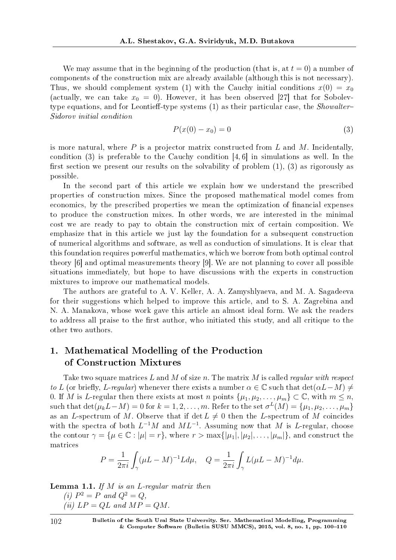We may assume that in the beginning of the production (that is, at  $t = 0$ ) a number of components of the construction mix are already available (although this is not necessary). Thus, we should complement system (1) with the Cauchy initial conditions  $x(0) = x_0$ (actually, we can take  $x_0 = 0$ ). However, it has been observed [27] that for Sobolevtype equations, and for Leontieff-type systems  $(1)$  as their particular case, the *Showalter*-Sidorov initial condition

$$
P(x(0) - x_0) = 0 \tag{3}
$$

is more natural, where *P* is a projector matrix constructed from *L* and *M*. Incidentally, condition (3) is preferable to the Cauchy condition [4, 6] in simulations as well. In the first section we present our results on the solvability of problem  $(1)$ ,  $(3)$  as rigorously as possible.

In the second part of this article we explain how we understand the prescribed properties of construction mixes. Since the proposed mathematical model comes from economics, by the prescribed properties we mean the optimization of nancial expenses to produce the construction mixes. In other words, we are interested in the minimal cost we are ready to pay to obtain the construction mix of certain composition. We emphasize that in this article we just lay the foundation for a subsequent construction of numerical algorithms and software, as well as conduction of simulations. It is clear that this foundation requires powerful mathematics, which we borrow from both optimal control theory [6] and optimal measurements theory [9]. We are not planning to cover all possible situations immediately, but hope to have discussions with the experts in construction mixtures to improve our mathematical models.

The authors are grateful to A. V. Keller, A. A. Zamyshlyaeva, and M. A. Sagadeeva for their suggestions which helped to improve this article, and to S. A. Zagrebina and N. A. Manakova, whose work gave this article an almost ideal form. We ask the readers to address all praise to the first author, who initiated this study, and all critique to the other two authors.

## 1. Mathematical Modelling of the Production of Construction Mixtures

Take two square matrices *L* and *M* of size *n*. The matrix *M* is called regular with respect  $to L$  (or briefly, *L*-regular) whenever there exists a number  $\alpha \in \mathbb{C}$  such that  $\det(\alpha L - M) \neq$ 0. If *M* is *L*-regular then there exists at most *n* points  $\{\mu_1, \mu_2, \ldots, \mu_m\} \subset \mathbb{C}$ , with  $m \leq n$ ,  $\text{such that } \det(\mu_k L - M) = 0 \text{ for } k = 1, 2, \ldots, m. \text{ Refer to the set } \sigma^L(M) = \{\mu_1, \mu_2, \ldots, \mu_m\}$ as an *L*-spectrum of *M*. Observe that if  $\det L \neq 0$  then the *L*-spectrum of *M* coincides with the spectra of both  $L^{-1}M$  and  $ML^{-1}$ . Assuming now that M is L-regular, choose the contour  $\gamma = {\mu \in \mathbb{C} : |\mu| = r}$ , where  $r > \max\{|\mu_1|, |\mu_2|, \ldots, |\mu_m|\}$ , and construct the matrices

$$
P = \frac{1}{2\pi i} \int_{\gamma} (\mu L - M)^{-1} L d\mu, \quad Q = \frac{1}{2\pi i} \int_{\gamma} L(\mu L - M)^{-1} d\mu.
$$

Lemma 1.1. If *M* is an *L*-regular matrix then (*i*)  $P^2 = P$  and  $Q^2 = Q$ ,

 $(ii) LP = QL$  and  $MP = QM$ .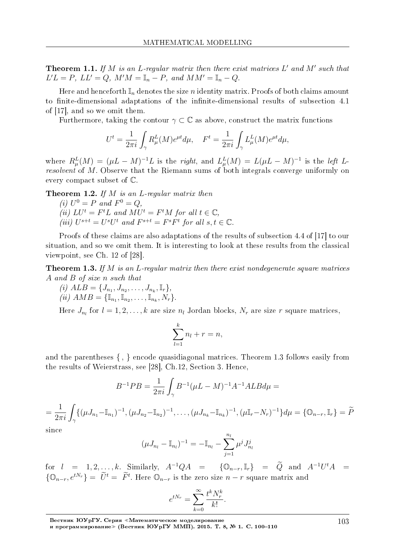Theorem 1.1. If *M* is an *L*-regular matrix then there exist matrices *L ′* and *M′* such that  $L'L = P$ ,  $LL' = Q$ ,  $M'M = \mathbb{I}_n - P$ , and  $MM' = \mathbb{I}_n - Q$ .

Here and henceforth  $\mathbb{I}_n$  denotes the size *n* identity matrix. Proofs of both claims amount to finite-dimensional adaptations of the infinite-dimensional results of subsection 4.1 of [17], and so we omit them.

Furthermore, taking the contour  $\gamma \subset \mathbb{C}$  as above, construct the matrix functions

$$
U^t = \frac{1}{2\pi i} \int_{\gamma} R^L_{\mu}(M) e^{\mu t} d\mu, \quad F^t = \frac{1}{2\pi i} \int_{\gamma} L^L_{\mu}(M) e^{\mu t} d\mu,
$$

where  $R^L_\mu(M) = (\mu L - M)^{-1}L$  is the right, and  $L^L_\mu(M) = L(\mu L - M)^{-1}$  is the left Lresolvent of M. Observe that the Riemann sums of both integrals converge uniformly on every compact subset of C.

Theorem 1.2. If *M* is an *L*-regular matrix then

(*i*)  $U^0 = P$  and  $F^0 = Q$ , (*ii*)  $LU^t = F^tL$  and  $MU^t = F^tM$  for all  $t \in \mathbb{C}$ , (iii)  $U^{s+t} = U^s U^t$  and  $F^{s+t} = F^s F^t$  for all  $s, t \in \mathbb{C}$ .

Proofs of these claims are also adaptations of the results of subsection 4.4 of [17] to our situation, and so we omit them. It is interesting to look at these results from the classical viewpoint, see Ch. 12 of [28].

Theorem 1.3. If *M* is an *L*-regular matrix then there exist nondegenerate square matrices *A* and *B* of size *n* such that

(i) 
$$
ALB = \{J_{n_1}, J_{n_2}, \ldots, J_{n_k}, \mathbb{I}_r\},
$$
  
(ii)  $AMB = \{\mathbb{I}_{n_1}, \mathbb{I}_{n_2}, \ldots, \mathbb{I}_{n_k}, N_r\}.$ 

Here  $J_{n_l}$  for  $l = 1, 2, \ldots, k$  are size  $n_l$  Jordan blocks,  $N_r$  are size  $r$  square matrices,

$$
\sum_{l=1}^{k} n_l + r = n,
$$

and the parentheses *{ , }* encode quasidiagonal matrices. Theorem 1.3 follows easily from the results of Weierstrass, see [28], Ch.12, Section 3. Hence,

$$
B^{-1}PB = \frac{1}{2\pi i} \int_{\gamma} B^{-1} (\mu L - M)^{-1} A^{-1} ALB d\mu =
$$

$$
= \frac{1}{2\pi i} \int_{\gamma} \{ (\mu J_{n_1} - \mathbb{I}_{n_1})^{-1}, (\mu J_{n_2} - \mathbb{I}_{n_2})^{-1}, \dots, (\mu J_{n_k} - \mathbb{I}_{n_k})^{-1}, (\mu \mathbb{I}_r - N_r)^{-1} \} d\mu = \{ \mathbb{O}_{n-r}, \mathbb{I}_r \} = \widetilde{P}
$$

since

$$
(\mu J_{n_l} - \mathbb{I}_{n_l})^{-1} = -\mathbb{I}_{n_l} - \sum_{j=1}^{n_l} \mu^j J_{n_l}^j
$$

 $\int$  for  $l = 1, 2, ..., k$ . Similarly,  $A^{-1}QA = {\{0_{n-r}, \mathbb{I}_r\}} = \tilde{Q}$  and  $A^{-1}U^tA =$  ${\mathbb Q}_{n-r}, e^{tN_r}$  =  $\tilde{U}^t = \tilde{F}^t$ . Here  $\mathbb{O}_{n-r}$  is the zero size  $n-r$  square matrix and

$$
e^{tN_r} = \sum_{k=0}^{\infty} \frac{t^k N_r^k}{k!}.
$$

Вестник ЮУрГУ. Серия «Математическое моделирование

и программирование» (Вестник ЮУрГУ ММП). 2015. Т. 8, № 1. С. 100-110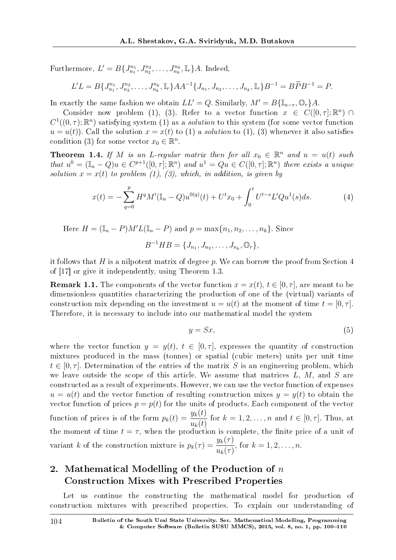Furthermore,  $L' = B\{J_{n_1}^{n_1}, J_{n_2}^{n_2}, \ldots, J_{n_k}^{n_k}, \mathbb{I}_r\}$ *A*. Indeed,

$$
L'L = B\{J_{n_1}^{n_1}, J_{n_2}^{n_2}, \dots, J_{n_k}^{n_k}, \mathbb{I}_r\} AA^{-1} \{J_{n_1}, J_{n_2}, \dots, J_{n_k}, \mathbb{I}_r\} B^{-1} = B\widetilde{P}B^{-1} = P.
$$

In exactly the same fashion we obtain  $LL' = Q$ . Similarly,  $M' = B\{\mathbb{I}_{n-r}, \mathbb{O}_r\}A$ .

Consider now problem (1), (3). Refer to a vector function  $x \in C([0, \tau]; \mathbb{R}^n)$  $C^1((0,\tau);\mathbb{R}^n)$  satisfying system (1) as a *solution* to this system (for some vector function  $u = u(t)$ ). Call the solution  $x = x(t)$  to (1) a *solution* to (1), (3) whenever it also satisfies condition (3) for some vector  $x_0 \in \mathbb{R}^n$ .

**Theorem 1.4.** If M is an *L*-regular matrix then for all  $x_0 \in \mathbb{R}^n$  and  $u = u(t)$  such that  $u^0 = (\mathbb{I}_n - Q)u \in C^{p+1}([0, \tau]; \mathbb{R}^n)$  and  $u^1 = Qu \in C([0, \tau]; \mathbb{R}^n)$  there exists a unique solution  $x = x(t)$  to problem (1), (3), which, in addition, is given by

$$
x(t) = -\sum_{q=0}^{p} H^q M'(\mathbb{I}_n - Q) u^{0(q)}(t) + U^t x_0 + \int_0^t U^{t-s} L' Q u^1(s) ds.
$$
 (4)

Here  $H = (\mathbb{I}_n - P)M'L(\mathbb{I}_n - P)$  and  $p = \max\{n_1, n_2, \ldots, n_k\}$ . Since

$$
B^{-1}HB = \{J_{n_1}, J_{n_2}, \ldots, J_{n_k}, \mathbb{O}_r\},\
$$

it follows that *H* is a nilpotent matrix of degree *p*. We can borrow the proof from Section 4 of [17] or give it independently, using Theorem 1.3.

**Remark 1.1.** The components of the vector function  $x = x(t)$ ,  $t \in [0, \tau]$ , are meant to be dimensionless quantities characterizing the production of one of the (virtual) variants of construction mix depending on the investment  $u = u(t)$  at the moment of time  $t = [0, \tau]$ . Therefore, it is necessary to include into our mathematical model the system

$$
y = Sx,\tag{5}
$$

where the vector function  $y = y(t)$ ,  $t \in [0, \tau]$ , expresses the quantity of construction mixtures produced in the mass (tonnes) or spatial (cubic meters) units per unit time  $t \in [0, \tau]$ . Determination of the entries of the matrix *S* is an engineering problem, which we leave outside the scope of this article. We assume that matrices *L*, *M*, and *S* are constructed as a result of experiments. However, we can use the vector function of expenses  $u = u(t)$  and the vector function of resulting construction mixes  $y = y(t)$  to obtain the vector function of prices  $p = p(t)$  for the units of products. Each component of the vector function of prices is of the form  $p_k(t) = \frac{y_k(t)}{y_k(t)}$  $u_k(t)$ for  $k = 1, 2, \ldots, n$  and  $t \in [0, \tau]$ . Thus, at the moment of time  $t = \tau$ , when the production is complete, the finite price of a unit of variant *k* of the construction mixture is  $p_k(\tau) = \frac{y_k(\tau)}{y(\tau)}$  $u_k(\tau)$  $, for k = 1, 2, ..., n.$ 

## 2. Mathematical Modelling of the Production of *n* Construction Mixes with Prescribed Properties

Let us continue the constructing the mathematical model for production of construction mixtures with prescribed properties. To explain our understanding of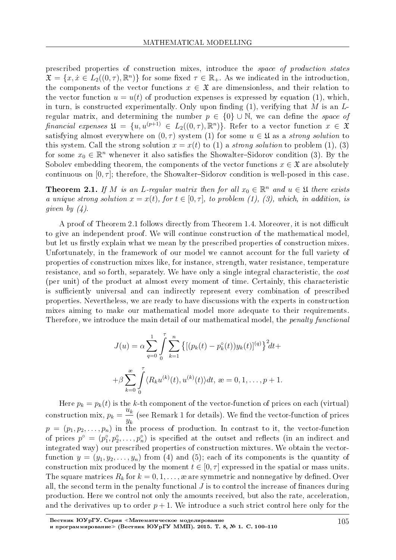prescribed properties of construction mixes, introduce the space of production states  $\mathfrak{X} = \{x, \dot{x} \in L_2((0, \tau), \mathbb{R}^n)\}\$  for some fixed  $\tau \in \mathbb{R}_+$ . As we indicated in the introduction, the components of the vector functions  $x \in \mathfrak{X}$  are dimensionless, and their relation to the vector function  $u = u(t)$  of production expenses is expressed by equation (1), which, in turn, is constructed experimentally. Only upon finding  $(1)$ , verifying that *M* is an *L*regular matrix, and determining the number  $p \in \{0\} \cup \mathbb{N}$ , we can define the *space of*  $\text{fin } \text{ancial } \text{ expenses } \mathfrak{U} = \{u, u^{(p+1)} \in L_2((0, \tau), \mathbb{R}^n)\}.$  Refer to a vector function  $x \in \mathfrak{X}$ satisfying almost everywhere on  $(0, \tau)$  system (1) for some  $u \in \mathfrak{U}$  as a *strong solution* to this system. Call the strong solution  $x = x(t)$  to (1) a *strong solution* to problem (1), (3) for some  $x_0 \in \mathbb{R}^n$  whenever it also satisfies the Showalter-Sidorov condition (3). By the Sobolev embedding theorem, the components of the vector functions  $x \in \mathfrak{X}$  are absolutely continuous on  $[0, \tau]$ ; therefore, the Showalter-Sidorov condition is well-posed in this case.

**Theorem 2.1.** If *M* is an *L*-regular matrix then for all  $x_0 \in \mathbb{R}^n$  and  $u \in \mathfrak{U}$  there exists a unique strong solution  $x = x(t)$ , for  $t \in [0, \tau]$ , to problem (1), (3), which, in addition, is given by  $(4)$ .

A proof of Theorem 2.1 follows directly from Theorem 1.4. Moreover, it is not difficult to give an independent proof. We will continue construction of the mathematical model, but let us firstly explain what we mean by the prescribed properties of construction mixes. Unfortunately, in the framework of our model we cannot account for the full variety of properties of construction mixes like, for instance, strength, water resistance, temperature resistance, and so forth, separately. We have only a single integral characteristic, the cost (per unit) of the product at almost every moment of time. Certainly, this characteristic is sufficiently universal and can indirectly represent every combination of prescribed properties. Nevertheless, we are ready to have discussions with the experts in construction mixes aiming to make our mathematical model more adequate to their requirements. Therefore, we introduce the main detail of our mathematical model, the *penalty functional* 

$$
J(u) = \alpha \sum_{q=0}^{1} \int_{0}^{\tau} \sum_{k=1}^{n} \{ [(p_k(t) - p_k^{\circ}(t))y_k(t)]^{(q)} \}^2 dt +
$$
  
+  $\beta \sum_{k=0}^{\infty} \int_{0}^{\tau} \langle R_k u^{(k)}(t), u^{(k)}(t) \rangle dt, \ \text{se} = 0, 1, \dots, p+1.$ 

Here  $p_k = p_k(t)$  is the *k*-th component of the vector-function of prices on each (virtual) construction mix,  $p_k =$  $\overline{u}_k$  $\frac{\partial x}{\partial k}$  (see Remark 1 for details). We find the vector-function of prices  $p = (p_1, p_2, \ldots, p_n)$  in the process of production. In contrast to it, the vector-function of prices  $p^{\circ} = (p_1^{\circ}, p_2^{\circ}, \ldots, p_n^{\circ})$  is specified at the outset and reflects (in an indirect and integrated way) our prescribed properties of construction mixtures. We obtain the vectorfunction  $y = (y_1, y_2, \ldots, y_n)$  from (4) and (5); each of its components is the quantity of construction mix produced by the moment  $t \in [0, \tau]$  expressed in the spatial or mass units. The square matrices  $R_k$  for  $k = 0, 1, \ldots$ , æ are symmetric and nonnegative by defined. Over all, the second term in the penalty functional  $J$  is to control the increase of finances during production. Here we control not only the amounts received, but also the rate, acceleration, and the derivatives up to order  $p + 1$ . We introduce a such strict control here only for the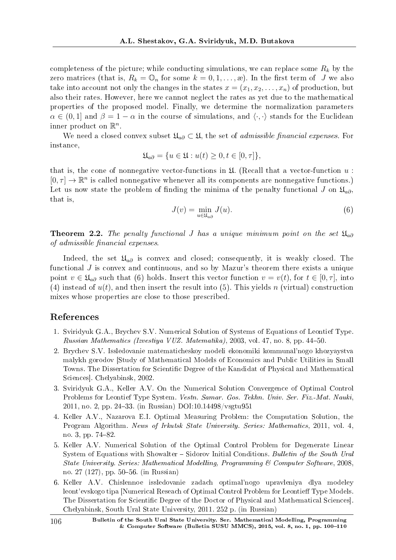completeness of the picture; while conducting simulations, we can replace some *R<sup>k</sup>* by the zero matrices (that is,  $R_k = \mathbb{O}_n$  for some  $k = 0, 1, \ldots, \mathbb{R}$ ). In the first term of *J* we also take into account not only the changes in the states  $x = (x_1, x_2, \ldots, x_n)$  of production, but also their rates. However, here we cannot neglect the rates as yet due to the mathematical properties of the proposed model. Finally, we determine the normalization parameters  $\alpha \in (0,1]$  and  $\beta = 1 - \alpha$  in the course of simulations, and  $\langle \cdot, \cdot \rangle$  stands for the Euclidean inner product on R *n* .

We need a closed convex subset  $\mathfrak{U}_{a\partial} \subset \mathfrak{U}$ , the set of *admissible financial expenses*. For instance,

$$
\mathfrak{U}_{a\partial} = \{ u \in \mathfrak{U} : u(t) \ge 0, t \in [0, \tau] \},
$$

that is, the cone of nonnegative vector-functions in  $\mathfrak U$ . (Recall that a vector-function  $u$ :  $[0, \tau] \to \mathbb{R}^n$  is called nonnegative whenever all its components are nonnegative functions.) Let us now state the problem of finding the minima of the penalty functional *J* on  $\mathfrak{U}_{a\partial}$ , that is,

$$
J(v) = \min_{u \in \mathfrak{U}_{a\partial}} J(u). \tag{6}
$$

**Theorem 2.2.** The penalty functional *J* has a unique minimum point on the set  $\mathfrak{U}_{a\partial}$ of admissible financial expenses.

Indeed, the set U*a∂* is convex and closed; consequently, it is weakly closed. The functional *J* is convex and continuous, and so by Mazur's theorem there exists a unique point  $v \in \mathfrak{U}_{a\partial}$  such that (6) holds. Insert this vector function  $v = v(t)$ , for  $t \in [0, \tau]$ , into (4) instead of  $u(t)$ , and then insert the result into (5). This yields *n* (virtual) construction mixes whose properties are close to those prescribed.

#### References

- 1. Sviridyuk G.A., Brychev S.V. Numerical Solution of Systems of Equations of Leontief Type. Russian Mathematics (Izvestiya VUZ. Matematika), 2003, vol. 47, no. 8, pp. 4450.
- 2. Brychev S.V. Issledovanie matematicheskoy modeli ekonomiki kommunal'nogo khozyaystva malykh gorodov [Study of Mathematical Models of Economics and Public Utilities in Small Towns. The Dissertation for Scientific Degree of the Kandidat of Physical and Mathematical Sciences]. Chelyabinsk, 2002.
- 3. Sviridyuk G.A., Keller A.V. On the Numerical Solution Convergence of Optimal Control Problems for Leontief Type System. Vestn. Samar. Gos. Tekhn. Univ. Ser. Fiz.-Mat. Nauki, 2011, no. 2, pp. 2433. (in Russian) DOI:10.14498/vsgtu951
- 4. Keller A.V., Nazarova E.I. Optimal Measuring Problem: the Computation Solution, the Program Algorithm. News of Irkutsk State University. Series: Mathematics, 2011, vol. 4, no. 3, pp. 74-82
- 5. Keller A.V. Numerical Solution of the Optimal Control Problem for Degenerate Linear System of Equations with Showalter - Sidorov Initial Conditions. Bulletin of the South Ural State University. Series: Mathematical Modelling, Programming & Computer Software, 2008, no. 27 (127), pp. 50–56. (in Russian)
- 6. Keller À.V. Chislennoe issledovanie zadach optimal'nogo upravleniya dlya modeley leont'evskogo tipa [Numerical Reseach of Optimal Control Problem for Leontieff Type Models. The Dissertation for Scientific Degree of the Doctor of Physical and Mathematical Sciences. Chelyabinsk, South Ural State University, 2011. 252 p. (in Russian)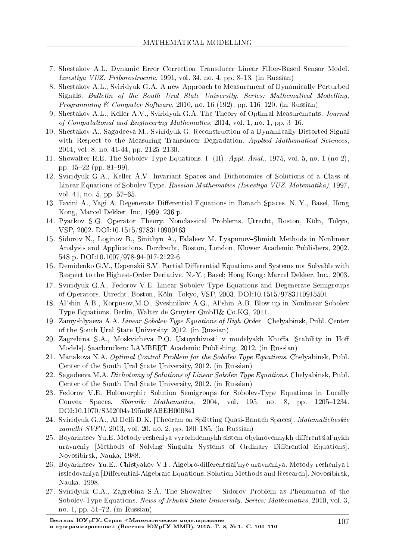- 7. Shestakov A.L. Dynamic Error Correction Transducer Linear Filter-Based Sensor Model.  $Izvestiya VUZ. Priborostroenie, 1991, vol. 34, no. 4, pp. 8-13. (in Russian)$
- 8. Shestakov A.L., Sviridyuk G.A. A new Approach to Measurement of Dynamically Perturbed Signals. Bulletin of the South Ural State University. Series: Mathematical Modelling, *Programming & Computer Software*, 2010, no. 16 (192), pp. 116–120. (in Russian)
- 9. Shestakov A.L., Keller A.V., Sviridyuk G.A. The Theory of Optimal Measurements. Journal of Computational and Engineering Mathematics,  $2014$ , vol. 1, no. 1, pp. 3-16.
- 10. Shestakov A., Sagadeeva M., Sviridyuk G. Reconstruction of a Dynamically Distorted Signal with Respect to the Measuring Transducer Degradation. Applied Mathematical Sciences, 2014, vol. 8, no. 41-44, pp. 2125-2130.
- 11. Showalter R.E. The Sobolev Type Equations. I (II). Appl. Anal., 1975, vol. 5, no. 1 (no 2), pp.  $15-22$  (pp.  $81-99$ ).
- 12. Sviridyuk G.A., Keller A.V. Invariant Spaces and Dichotomies of Solutions of a Class of Linear Equations of Sobolev Type. Russian Mathematics (Izvestiya VUZ. Matematika), 1997, vol. 41, no. 5, pp.  $57-65$ .
- 13. Favini A., Yagi A. Degenerate Differential Equations in Banach Spaces. N.-Y., Basel, Hong Kong, Marcel Dekker, Inc, 1999. 236 p.
- 14. Pyatkov S.G. Operator Theory. Nonclassical Problems. Utrecht, Boston, Koln, Tokyo, VSP, 2002. DOI:10.1515/9783110900163
- 15. Sidorov N., Loginov B., Sinithyn A., Falaleev M. Lyapunov-Shmidt Methods in Nonlinear Analysis and Applications. Dordrecht, Boston, London, Kluwer Academic Publishers, 2002. 548 p. DOI:10.1007/978-94-017-2122-6
- 16. Demidenko G.V., Uspenskii S.V. Partial Differential Equations and Systems not Solvable with Respect to the Highest-Order Deriative. N.-Y.; Basel; Hong Kong: Marcel Dekker, Inc., 2003.
- 17. Sviridyuk G.A., Fedorov V.E. Linear Sobolev Type Equations and Degenerate Semigroups of Operators. Utrecht, Boston, Koln, Tokyo, VSP, 2003. DOI:10.1515/9783110915501
- 18. Al'shin A.B., Korpusov,M.O., Sveshnikov A.G., Al'shin A.B. Blow-up in Nonlinear Sobolev Type Equations. Berlin, Walter de Gruyter GmbH& Co.KG, 2011.
- 19. Zamyshlyaeva A.A. Linear Sobolev Type Equations of High Order. Chelyabinsk, Publ. Center of the South Ural State University, 2012. (in Russian)
- 20. Zagrebina S.A., Moskvicheva P.O. Ustoychivost' v modelyakh Khoffa [Stability in Hoff Models]. Saarbrucken: LAMBERT Academic Publishing, 2012. (in Russian)
- 21. Manakova N.A. Optimal Control Problem for the Sobolev Type Equations. Chelyabinsk, Publ. Center of the South Ural State University, 2012. (in Russian)
- 22. Sagadeeva M.A. Dichotomy of Solutions of Linear Sobolev Type Equations. Chelyabinsk, Publ. Center of the South Ural State University, 2012. (in Russian)
- 23. Fedorov V.E. Holomorphic Solution Semigroups for Sobolev-Type Equations in Locally Convex Spaces. Sbornik: Mathematics, 2004, vol. 195, no. 8, pp.  $1205-1234$ . DOI:10.1070/SM2004v195n08ABEH000841
- 24. Sviridyuk G.A., Al Delfi D.K. [Theorem on Splitting Quasi-Banach Spaces]. Matematicheskie  $zametki$  SVFU, 2013, vol. 20, no. 2, pp. 180–185. (in Russian)
- 25. Boyarintsev Yu.E. Metody resheniya vyrozhdennykh sistem obyknovennykh differentsial'nykh uravneniy [Methods of Solving Singular Systems of Ordinary Differential Equations]. Novosibirsk, Nauka, 1988.
- 26. Boyarintsev Yu.E., Chistyakov V.F. Algebro-differentsial'nye uravneniya. Metody resheniya i issledovaniya [Differential-Algebraic Equations. Solution Methods and Research]. Novosibirsk, Nauka, 1998.
- 27. Sviridyuk G.A., Zagrebina S.A. The Showalter Sidorov Problem as Phenomena of the Sobolev-Type Equations. News of Irkutsk State University. Series: Mathematics, 2010, vol. 3, no. 1, pp.  $51-72$ . (in Russian)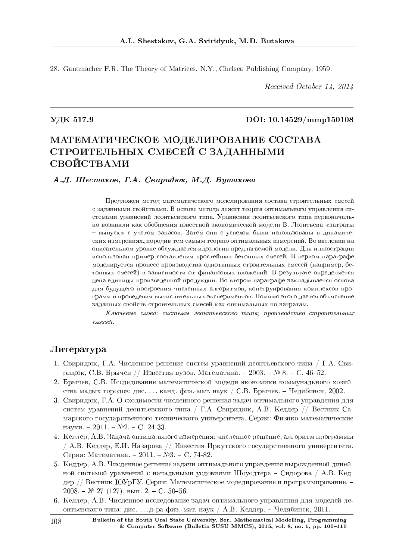28. Gantmacher F.R. The Theory of Matrices. N.Y., Chelsea Publishing Company, 1959.

Received October 14, 2014

### VДК 517.9 DOI: 10.14529/mmp150108

# МАТЕМАТИЧЕСКОЕ МОДЕЛИРОВАНИЕ СОСТАВА СТРОИТЕЛЬНЫХ СМЕСЕЙ С ЗАДАННЫМИ СВОЙСТВАМИ

A.J. IIIecmakoe, T.A. Ceupudrok, M.Д. Бутакова

Предложен метод математического моделирования состава строительных смесей с заданными свойствами. В основе метода лежит теория оптимального управления системами уравнений леонтьевского типа. Уравнения леонтьевского типа первоначально возникли как обобщения известной экономической модели В. Леонтьева «затраты − выпуск» с учетом запасов. Затем они с успехом были использованы в динамических измерениях, породив тем самым теорию оптимальных измерений. Во введении на описательном уровне обсуждается идеология предлагаемой модели. Для иллюстрации использован пример составления простейших бетонных смесей. В первом параграфе моделируется процесс производства однотипных строительных смесей (например, бетонных смесей) в зависимости от финансовых вложений. В результате определяется цена единицы произведенной продукции. Во втором параграфе закладывается основа для будущего построения численных алгоритмов, конструирования комплексов программ и проведения вычислительных экспериментов. Помимо этого дается объяснение заданных свойств строительных смесей как оптимальных по затратам.

 $K$ лючевые слова: системы леонтьевского типа; производство строительных  $c$ ме $c$ ей.

#### Литература

- 1. Свиридюк, Г.А. Численное решение систем уравнений леонтьевского типа / Г.А. Свиридюк, С.В. Брычев // Известия вузов. Математика. - 2003. – № 8. - С. 46-52.
- 2. Брычев, С.В. Исследование математической модели экономики коммунального хозяйства малых городов: дис. . . . канд. физ.-мат. наук / С.В. Брычев. - Челябинск, 2002.
- 3. Свиридюк, Г.А. О сходимости численного решения задач оптимального управления для систем уравнений леонтьевского типа / Г.А. Свиридюк, А.В. Келлер // Вестник Самарского государственного технического университета. Серия: Физико-математические науки. – 2011. – №2. – С. 24-33.
- 4. Келлер, А.В. Задача оптимального измерения: численное решение, алгоритм программы / А.В. Келлер, Е.И. Назарова // Известия Иркутского государственного университета. Серия: Математика. - 2011. - №3. - С. 74-82.
- 5. Келлер, А.В. Численное решение задачи оптимального управления вырожденной линейной системой уравнений с начальными условиями Шоуолтера – Сидорова / А.В. Келлер // Вестник ЮУрГУ. Серия: Математическое моделирование и программирование. –  $2008. - N$ <sup>2</sup> 27 (127), вып. 2. - С. 50-56.
- 6. Келлер, А.В. Численное исследование задач оптимального управления для моделей леонтьевского типа: дис.... д-ра физ.-мат. наук / А.В. Келлер. – Челябинск, 2011.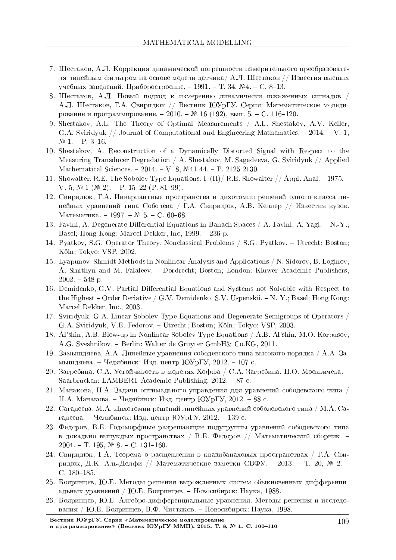- 7. Шестаков, А.Л. Коррекция динамической погрешности измерительного преобразователя линейным фильтром на основе модели датчика/ А.Л. Шестаков // Известия высших учебных заведений. Приборостроение. - 1991. - Т. 34, №4. - С. 8-13.
- 8. Шестаков, А.Л. Новый подход к измерению динамически искаженных сигналов / А.Л. Шестаков, Г.А. Свиридюк // Вестник ЮУрГУ. Серия: Математическое моделирование и программирование. - 2010. – № 16 (192), вып. 5. - С. 116-120.
- 9. Shestakov, A.L. The Theory of Optimal Measurements / A.L. Shestakov, A.V. Keller, G.A. Sviridyuk  $\frac{1}{10}$  Journal of Computational and Engineering Mathematics.  $-2014. -V. 1$ ,  $N<sup>0</sup>$  1. - P. 3-16.
- 10. Shestakov, A. Reconstruction of a Dynamically Distorted Signal with Respect to the Measuring Transducer Degradation / A. Shestakov, M. Sagadeeva, G. Sviridyuk // Applied Mathematical Sciences.  $-2014. -V. 8$ ,  $\mathbb{N}41-44. -P. 2125-2130.$
- 11. Showalter, R.E. The Sobolev Type Equations. I (II)/ R.E. Showalter // Appl. Anal. 1975. V. 5,  $\mathbb{N}$  1 ( $\mathbb{N}$  2). - P. 15-22 (P. 81-99).
- 12. Свиридюк, Г.А. Инвариантные пространства и дихотомии решений одного класса линейных уравнений типа Соболева / Г.А. Свиридюк, А.В. Келлер // Известия вузов. Математика. - 1997. – № 5. - С. 60-68.
- 13. Favini, A. Degenerate Differential Equations in Banach Spaces  $/$  A. Favini, A. Yagi.  $-N.-Y$ .; Basel; Hong Kong: Marcel Dekker, Inc, 1999. – 236 p.
- 14. Pyatkov, S.G. Operator Theory. Nonclassical Problems / S.G. Pyatkov. Utrecht; Boston; Köln; Tokyo: VSP, 2002.
- 15. Lyapunov–Shmidt Methods in Nonlinear Analysis and Applications / N. Sidorov, B. Loginov, A. Sinithyn and M. Falaleev. Dordrecht; Boston; London: Kluwer Academic Publishers,  $2002. - 548$  p.
- 16. Demidenko, G.V. Partial Differential Equations and Systems not Solvable with Respect to the Highest – Order Deriative / G.V. Demidenko, S.V. Uspenskii.  $-N.-Y.$ ; Basel; Hong Kong: Marcel Dekker, Inc., 2003.
- 17. Sviridyuk, G.A. Linear Sobolev Type Equations and Degenerate Semigroups of Operators / G.A. Sviridyuk, V.E. Fedorov. Utrecht; Boston; Koln; Tokyo: VSP, 2003.
- 18. Al'shin, A.B. Blow-up in Nonlinear Sobolev Type Equations / A.B. Al'shin, M.O. Korpusov, A.G. Sveshnikov. Berlin: Walter de Gruyter GmbH& Co.KG, 2011.
- 19. Замышляева, А.А. Линейные уравнения соболевского типа высокого порядка / А.А. Замышляева. – Челябинск: Изд. центр ЮУрГУ, 2012. – 107 с.
- 20. Загребина, С.А. Устойчивость в моделях Хоффа / С.А. Загребина, П.О. Москвичева. Saarbrucken: LAMBERT Academic Publishing,  $2012. - 87$  c.
- 21. Манакова, Н.А. Задачи оптимального управления для уравнений соболевского типа / Н.А. Манакова. – Челябинск: Изд. центр ЮУрГУ, 2012. – 88 с.
- 22. Сагадеева, М.А. Дихотомии решений линейных уравнений соболевского типа / М.А. Сагадеева. – Челябинск: Изд. центр ЮУрГУ, 2012. – 139 с.
- 23. Федоров, В.Е. Голоморфные разрешающие полугруппы уравнений соболевского типа в локально выпуклых пространствах / В.Е. Федоров // Математический сборник. –  $2004. - T. 195, \, \mathcal{N}$ . 8. - C. 131-160.
- 24. Свиридюк, Г.А. Теорема о расщеплении в квазибанаховых пространствах / Г.А. Свиридюк, Д.К. Аль-Делфи // Математические заметки СВФУ. – 2013. – Т. 20, № 2. –  $C. 180 - 185.$
- 25. Бояринцев, Ю.Е. Методы решения вырожденных систем обыкновенных дифференциальных уравнений / Ю.Е. Бояринцев. – Новосибирск: Наука, 1988.
- 26. Бояринцев, Ю.Е. Алгебро-дифференциальные уравнения. Метолы решения и исследования / Ю.Е. Бояринцев, В.Ф. Чистяков. – Новосибирск: Наука, 1998.